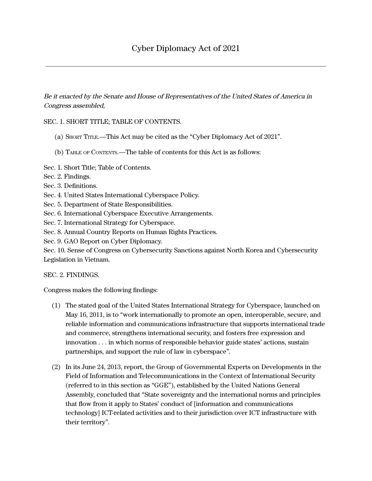Be it enacted by the Senate and House of Representatives of the United States of America in Congress assembled,

## SEC. 1. SHORT TITLE; TABLE OF CONTENTS.

- (a) SHORT TITLE.—This Act may be cited as the "Cyber Diplomacy Act of 2021".
- (b) TABLE OF CONTENTS.—The table of contents for this Act is as follows:
- Sec. 1. Short Title; Table of Contents.
- Sec. 2. Findings.
- Sec. 3. Definitions.
- Sec. 4. United States International Cyberspace Policy.
- Sec. 5. Department of State Responsibilities.
- Sec. 6. International Cyberspace Executive Arrangements.
- Sec. 7. International Strategy for Cyberspace.
- Sec. 8. Annual Country Reports on Human Rights Practices.

Sec. 9. GAO Report on Cyber Diplomacy.

Sec. 10. Sense of Congress on Cybersecurity Sanctions against North Korea and Cybersecurity Legislation in Vietnam.

SEC. 2. FINDINGS.

Congress makes the following findings:

- (1) The stated goal of the United States International Strategy for Cyberspace, launched on May 16, 2011, is to "work internationally to promote an open, interoperable, secure, and reliable information and communications infrastructure that supports international trade and commerce, strengthens international security, and fosters free expression and innovation . . . in which norms of responsible behavior guide states' actions, sustain partnerships, and support the rule of law in cyberspace''.
- (2) In its June 24, 2013, report, the Group of Governmental Experts on Developments in the Field of Information and Telecommunications in the Context of International Security (referred to in this section as ''GGE''), established by the United Nations General Assembly, concluded that ''State sovereignty and the international norms and principles that flow from it apply to States' conduct of [information and communications technology] ICT-related activities and to their jurisdiction over ICT infrastructure with their territory''.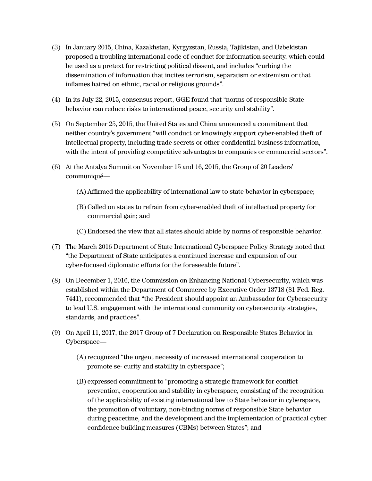- (3) In January 2015, China, Kazakhstan, Kyrgyzstan, Russia, Tajikistan, and Uzbekistan proposed a troubling international code of conduct for information security, which could be used as a pretext for restricting political dissent, and includes ''curbing the dissemination of information that incites terrorism, separatism or extremism or that inflames hatred on ethnic, racial or religious grounds''.
- (4) In its July 22, 2015, consensus report, GGE found that ''norms of responsible State behavior can reduce risks to international peace, security and stability''.
- (5) On September 25, 2015, the United States and China announced a commitment that neither country's government ''will conduct or knowingly support cyber-enabled theft of intellectual property, including trade secrets or other confidential business information, with the intent of providing competitive advantages to companies or commercial sectors".
- (6) At the Antalya Summit on November 15 and 16, 2015, the Group of 20 Leaders' communiqué—
	- (A) Affirmed the applicability of international law to state behavior in cyberspace;
	- (B) Called on states to refrain from cyber-enabled theft of intellectual property for commercial gain; and
	- (C) Endorsed the view that all states should abide by norms of responsible behavior.
- (7) The March 2016 Department of State International Cyberspace Policy Strategy noted that ''the Department of State anticipates a continued increase and expansion of our cyber-focused diplomatic efforts for the foreseeable future''.
- (8) On December 1, 2016, the Commission on Enhancing National Cybersecurity, which was established within the Department of Commerce by Executive Order 13718 (81 Fed. Reg. 7441), recommended that ''the President should appoint an Ambassador for Cybersecurity to lead U.S. engagement with the international community on cybersecurity strategies, standards, and practices''.
- (9) On April 11, 2017, the 2017 Group of 7 Declaration on Responsible States Behavior in Cyberspace—
	- (A)recognized ''the urgent necessity of increased international cooperation to promote se- curity and stability in cyberspace'';
	- (B) expressed commitment to ''promoting a strategic framework for conflict prevention, cooperation and stability in cyberspace, consisting of the recognition of the applicability of existing international law to State behavior in cyberspace, the promotion of voluntary, non-binding norms of responsible State behavior during peacetime, and the development and the implementation of practical cyber confidence building measures (CBMs) between States"; and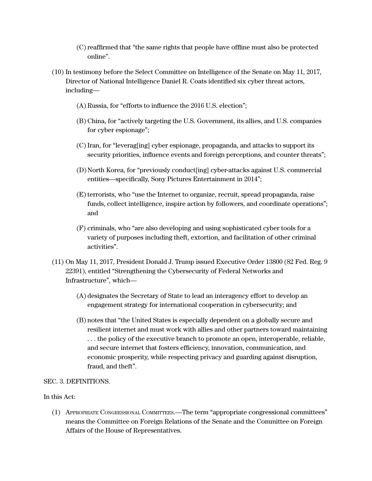- (C)reaffirmed that ''the same rights that people have offline must also be protected online''.
- (10) In testimony before the Select Committee on Intelligence of the Senate on May 11, 2017, Director of National Intelligence Daniel R. Coats identified six cyber threat actors, including—
	- (A) Russia, for "efforts to influence the 2016 U.S. election";
	- (B) China, for ''actively targeting the U.S. Government, its allies, and U.S. companies for cyber espionage'';
	- (C)Iran, for ''leverag[ing] cyber espionage, propaganda, and attacks to support its security priorities, influence events and foreign perceptions, and counter threats'';
	- (D)North Korea, for ''previously conduct[ing] cyber-attacks against U.S. commercial entities—specifically, Sony Pictures Entertainment in 2014'';
	- (E) terrorists, who "use the Internet to organize, recruit, spread propaganda, raise funds, collect intelligence, inspire action by followers, and coordinate operations''; and
	- (F) criminals, who ''are also developing and using sophisticated cyber tools for a variety of purposes including theft, extortion, and facilitation of other criminal activities''.
- (11) On May 11, 2017, President Donald J. Trump issued Executive Order 13800 (82 Fed. Reg. 9 22391), entitled ''Strengthening the Cybersecurity of Federal Networks and Infrastructure'', which—
	- (A) designates the Secretary of State to lead an interagency effort to develop an engagement strategy for international cooperation in cybersecurity; and
	- (B) notes that ''the United States is especially dependent on a globally secure and resilient internet and must work with allies and other partners toward maintaining . . . the policy of the executive branch to promote an open, interoperable, reliable, and secure internet that fosters efficiency, innovation, communication, and economic prosperity, while respecting privacy and guarding against disruption, fraud, and theft''.

### SEC. 3. DEFINITIONS.

### In this Act:

(1) APPROPRIATE CONGRESSIONAL COMMITTEES.—The term ''appropriate congressional committees'' means the Committee on Foreign Relations of the Senate and the Committee on Foreign Affairs of the House of Representatives.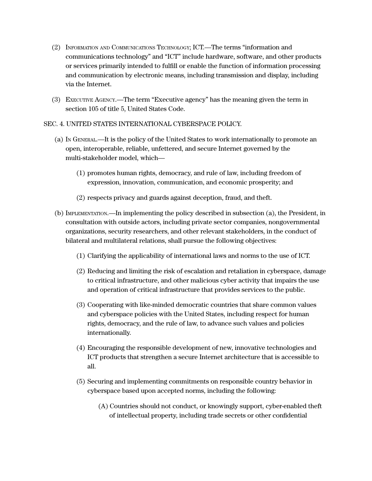- (2) INFORMATION AND COMMUNICATIONS TECHNOLOGY; ICT.—The terms ''information and communications technology'' and ''ICT'' include hardware, software, and other products or services primarily intended to fulfill or enable the function of information processing and communication by electronic means, including transmission and display, including via the Internet.
- (3) EXECUTIVE AGENCY.—The term ''Executive agency'' has the meaning given the term in section 105 of title 5, United States Code.

## SEC. 4. UNITED STATES INTERNATIONAL CYBERSPACE POLICY.

- (a) IN GENERAL.—It is the policy of the United States to work internationally to promote an open, interoperable, reliable, unfettered, and secure Internet governed by the multi-stakeholder model, which—
	- (1) promotes human rights, democracy, and rule of law, including freedom of expression, innovation, communication, and economic prosperity; and
	- (2) respects privacy and guards against deception, fraud, and theft.
- (b) IMPLEMENTATION.—In implementing the policy described in subsection (a), the President, in consultation with outside actors, including private sector companies, nongovernmental organizations, security researchers, and other relevant stakeholders, in the conduct of bilateral and multilateral relations, shall pursue the following objectives:
	- (1) Clarifying the applicability of international laws and norms to the use of ICT.
	- (2) Reducing and limiting the risk of escalation and retaliation in cyberspace, damage to critical infrastructure, and other malicious cyber activity that impairs the use and operation of critical infrastructure that provides services to the public.
	- (3) Cooperating with like-minded democratic countries that share common values and cyberspace policies with the United States, including respect for human rights, democracy, and the rule of law, to advance such values and policies internationally.
	- (4) Encouraging the responsible development of new, innovative technologies and ICT products that strengthen a secure Internet architecture that is accessible to all.
	- (5) Securing and implementing commitments on responsible country behavior in cyberspace based upon accepted norms, including the following:
		- (A) Countries should not conduct, or knowingly support, cyber-enabled theft of intellectual property, including trade secrets or other confidential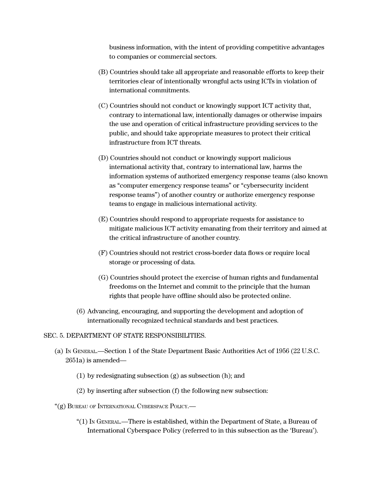business information, with the intent of providing competitive advantages to companies or commercial sectors.

- (B) Countries should take all appropriate and reasonable efforts to keep their territories clear of intentionally wrongful acts using ICTs in violation of international commitments.
- (C) Countries should not conduct or knowingly support ICT activity that, contrary to international law, intentionally damages or otherwise impairs the use and operation of critical infrastructure providing services to the public, and should take appropriate measures to protect their critical infrastructure from ICT threats.
- (D) Countries should not conduct or knowingly support malicious international activity that, contrary to international law, harms the information systems of authorized emergency response teams (also known as ''computer emergency response teams'' or ''cybersecurity incident response teams'') of another country or authorize emergency response teams to engage in malicious international activity.
- (E) Countries should respond to appropriate requests for assistance to mitigate malicious ICT activity emanating from their territory and aimed at the critical infrastructure of another country.
- (F) Countries should not restrict cross-border data flows or require local storage or processing of data.
- (G) Countries should protect the exercise of human rights and fundamental freedoms on the Internet and commit to the principle that the human rights that people have offline should also be protected online.
- (6) Advancing, encouraging, and supporting the development and adoption of internationally recognized technical standards and best practices.

### SEC. 5. DEPARTMENT OF STATE RESPONSIBILITIES.

- (a) I<sup>N</sup> GENERAL.—Section 1 of the State Department Basic Authorities Act of 1956 (22 U.S.C. 2651a) is amended—
	- (1) by redesignating subsection (g) as subsection (h); and
	- (2) by inserting after subsection (f) the following new subsection:
- "(g) BUREAU OF INTERNATIONAL CYBERSPACE POLICY.—
	- "(1) I<sup>N</sup> GENERAL.—There is established, within the Department of State, a Bureau of International Cyberspace Policy (referred to in this subsection as the 'Bureau').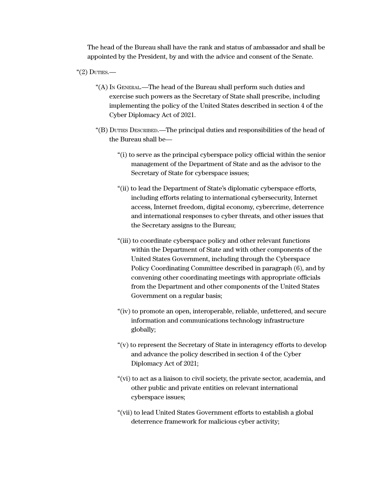The head of the Bureau shall have the rank and status of ambassador and shall be appointed by the President, by and with the advice and consent of the Senate.

" $(2)$  Duties.—

- "(A) IN GENERAL.—The head of the Bureau shall perform such duties and exercise such powers as the Secretary of State shall prescribe, including implementing the policy of the United States described in section 4 of the Cyber Diplomacy Act of 2021.
- "(B) DUTIES DESCRIBED.—The principal duties and responsibilities of the head of the Bureau shall be—
	- "(i) to serve as the principal cyberspace policy official within the senior management of the Department of State and as the advisor to the Secretary of State for cyberspace issues;
	- "(ii) to lead the Department of State's diplomatic cyberspace efforts, including efforts relating to international cybersecurity, Internet access, Internet freedom, digital economy, cybercrime, deterrence and international responses to cyber threats, and other issues that the Secretary assigns to the Bureau;
	- "(iii) to coordinate cyberspace policy and other relevant functions within the Department of State and with other components of the United States Government, including through the Cyberspace Policy Coordinating Committee described in paragraph (6), and by convening other coordinating meetings with appropriate officials from the Department and other components of the United States Government on a regular basis;
	- "(iv) to promote an open, interoperable, reliable, unfettered, and secure information and communications technology infrastructure globally;
	- "(v) to represent the Secretary of State in interagency efforts to develop and advance the policy described in section 4 of the Cyber Diplomacy Act of 2021;
	- "(vi) to act as a liaison to civil society, the private sector, academia, and other public and private entities on relevant international cyberspace issues;
	- "(vii) to lead United States Government efforts to establish a global deterrence framework for malicious cyber activity;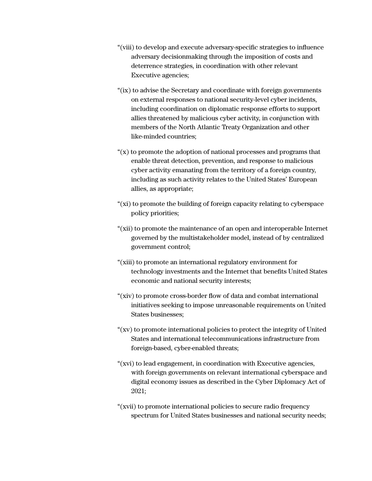- "(viii) to develop and execute adversary-specific strategies to influence adversary decisionmaking through the imposition of costs and deterrence strategies, in coordination with other relevant Executive agencies;
- "(ix) to advise the Secretary and coordinate with foreign governments on external responses to national security-level cyber incidents, including coordination on diplomatic response efforts to support allies threatened by malicious cyber activity, in conjunction with members of the North Atlantic Treaty Organization and other like-minded countries;
- $f(x)$  to promote the adoption of national processes and programs that enable threat detection, prevention, and response to malicious cyber activity emanating from the territory of a foreign country, including as such activity relates to the United States' European allies, as appropriate;
- "(xi) to promote the building of foreign capacity relating to cyberspace policy priorities;
- "(xii) to promote the maintenance of an open and interoperable Internet governed by the multistakeholder model, instead of by centralized government control;
- "(xiii) to promote an international regulatory environment for technology investments and the Internet that benefits United States economic and national security interests;
- "(xiv) to promote cross-border flow of data and combat international initiatives seeking to impose unreasonable requirements on United States businesses;
- "(xv) to promote international policies to protect the integrity of United States and international telecommunications infrastructure from foreign-based, cyber-enabled threats;
- "(xvi) to lead engagement, in coordination with Executive agencies, with foreign governments on relevant international cyberspace and digital economy issues as described in the Cyber Diplomacy Act of 2021;
- "(xvii) to promote international policies to secure radio frequency spectrum for United States businesses and national security needs;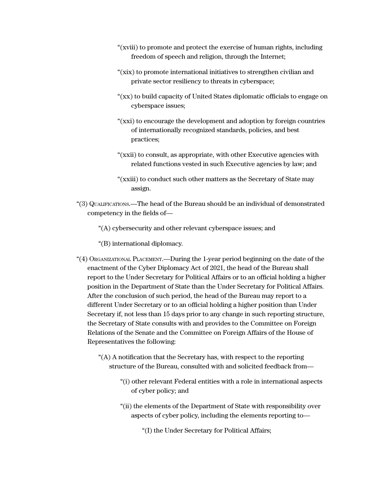- "(xviii) to promote and protect the exercise of human rights, including freedom of speech and religion, through the Internet;
- "(xix) to promote international initiatives to strengthen civilian and private sector resiliency to threats in cyberspace;
- "(xx) to build capacity of United States diplomatic officials to engage on cyberspace issues;
- "(xxi) to encourage the development and adoption by foreign countries of internationally recognized standards, policies, and best practices;
- "(xxii) to consult, as appropriate, with other Executive agencies with related functions vested in such Executive agencies by law; and
- "(xxiii) to conduct such other matters as the Secretary of State may assign.
- "(3) QUALIFICATIONS.—The head of the Bureau should be an individual of demonstrated competency in the fields of—

"(A) cybersecurity and other relevant cyberspace issues; and

- "(B) international diplomacy.
- "(4) ORGANIZATIONAL PLACEMENT.—During the 1-year period beginning on the date of the enactment of the Cyber Diplomacy Act of 2021, the head of the Bureau shall report to the Under Secretary for Political Affairs or to an official holding a higher position in the Department of State than the Under Secretary for Political Affairs. After the conclusion of such period, the head of the Bureau may report to a different Under Secretary or to an official holding a higher position than Under Secretary if, not less than 15 days prior to any change in such reporting structure, the Secretary of State consults with and provides to the Committee on Foreign Relations of the Senate and the Committee on Foreign Affairs of the House of Representatives the following:
	- "(A) A notification that the Secretary has, with respect to the reporting structure of the Bureau, consulted with and solicited feedback from—
		- "(i) other relevant Federal entities with a role in international aspects of cyber policy; and
		- "(ii) the elements of the Department of State with responsibility over aspects of cyber policy, including the elements reporting to—

"(I) the Under Secretary for Political Affairs;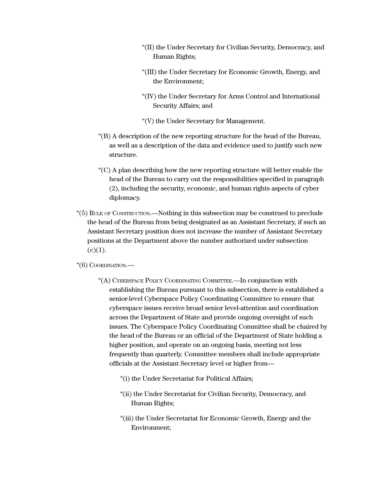- "(II) the Under Secretary for Civilian Security, Democracy, and Human Rights;
- "(III) the Under Secretary for Economic Growth, Energy, and the Environment;
- "(IV) the Under Secretary for Arms Control and International Security Affairs; and
- "(V) the Under Secretary for Management.
- "(B) A description of the new reporting structure for the head of the Bureau, as well as a description of the data and evidence used to justify such new structure.
- "(C) A plan describing how the new reporting structure will better enable the head of the Bureau to carry out the responsibilities specified in paragraph (2), including the security, economic, and human rights aspects of cyber diplomacy.
- "(5) RULE OF CONSTRUCTION.—Nothing in this subsection may be construed to preclude the head of the Bureau from being designated as an Assistant Secretary, if such an Assistant Secretary position does not increase the number of Assistant Secretary positions at the Department above the number authorized under subsection  $(c)(1)$ .

### "(6) COORDINATION.—

- "(A) CYBERSPACE POLICY COORDINATING COMMITTEE.—In conjunction with establishing the Bureau pursuant to this subsection, there is established a senior-level Cyberspace Policy Coordinating Committee to ensure that cyberspace issues receive broad senior level-attention and coordination across the Department of State and provide ongoing oversight of such issues. The Cyberspace Policy Coordinating Committee shall be chaired by the head of the Bureau or an official of the Department of State holding a higher position, and operate on an ongoing basis, meeting not less frequently than quarterly. Committee members shall include appropriate officials at the Assistant Secretary level or higher from—
	- "(i) the Under Secretariat for Political Affairs;
	- "(ii) the Under Secretariat for Civilian Security, Democracy, and Human Rights;
	- "(iii) the Under Secretariat for Economic Growth, Energy and the Environment;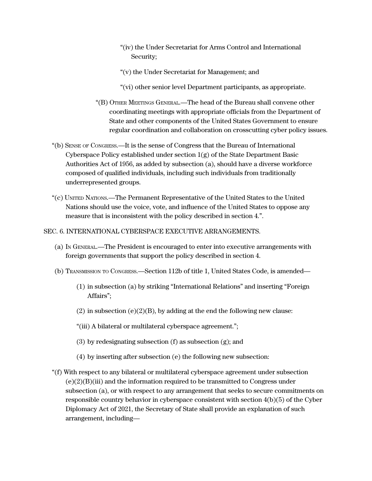- "(iv) the Under Secretariat for Arms Control and International Security;
- "(v) the Under Secretariat for Management; and
- "(vi) other senior level Department participants, as appropriate.
- "(B) OTHER MEETINGS GENERAL.—The head of the Bureau shall convene other coordinating meetings with appropriate officials from the Department of State and other components of the United States Government to ensure regular coordination and collaboration on crosscutting cyber policy issues.
- "(b) SENSE OF CONGRESS.—It is the sense of Congress that the Bureau of International Cyberspace Policy established under section  $1(g)$  of the State Department Basic Authorities Act of 1956, as added by subsection (a), should have a diverse workforce composed of qualified individuals, including such individuals from traditionally underrepresented groups.
- "(c) UNITED NATIONS.—The Permanent Representative of the United States to the United Nations should use the voice, vote, and influence of the United States to oppose any measure that is inconsistent with the policy described in section 4.''.

### SEC. 6. INTERNATIONAL CYBERSPACE EXECUTIVE ARRANGEMENTS.

- (a) IN GENERAL.—The President is encouraged to enter into executive arrangements with foreign governments that support the policy described in section 4.
- (b) TRANSMISSION TO CONGRESS.—Section 112b of title 1, United States Code, is amended—
	- (1) in subsection (a) by striking ''International Relations'' and inserting ''Foreign Affairs'';
	- (2) in subsection (e)(2)(B), by adding at the end the following new clause:
	- "(iii) A bilateral or multilateral cyberspace agreement.'';
	- (3) by redesignating subsection (f) as subsection (g); and
	- (4) by inserting after subsection (e) the following new subsection:
- "(f) With respect to any bilateral or multilateral cyberspace agreement under subsection  $(e)(2)(B)(iii)$  and the information required to be transmitted to Congress under subsection (a), or with respect to any arrangement that seeks to secure commitments on responsible country behavior in cyberspace consistent with section 4(b)(5) of the Cyber Diplomacy Act of 2021, the Secretary of State shall provide an explanation of such arrangement, including—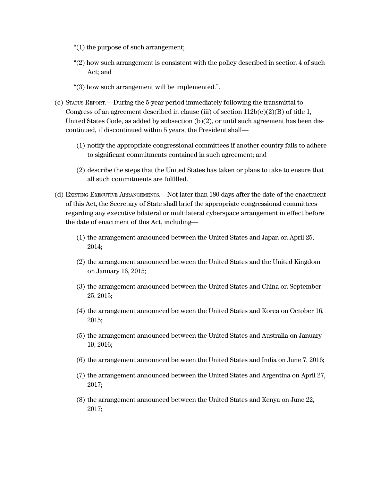- "(1) the purpose of such arrangement;
- "(2) how such arrangement is consistent with the policy described in section 4 of such Act; and
- "(3) how such arrangement will be implemented.''.
- (c) STATUS REPORT.—During the 5-year period immediately following the transmittal to Congress of an agreement described in clause (iii) of section  $112b(e)(2)(B)$  of title 1, United States Code, as added by subsection  $(b)(2)$ , or until such agreement has been discontinued, if discontinued within 5 years, the President shall—
	- (1) notify the appropriate congressional committees if another country fails to adhere to significant commitments contained in such agreement; and
	- (2) describe the steps that the United States has taken or plans to take to ensure that all such commitments are fulfilled.
- (d) EXISTING EXECUTIVE ARRANGEMENTS.—Not later than 180 days after the date of the enactment of this Act, the Secretary of State shall brief the appropriate congressional committees regarding any executive bilateral or multilateral cyberspace arrangement in effect before the date of enactment of this Act, including—
	- (1) the arrangement announced between the United States and Japan on April 25, 2014;
	- (2) the arrangement announced between the United States and the United Kingdom on January 16, 2015;
	- (3) the arrangement announced between the United States and China on September 25, 2015;
	- (4) the arrangement announced between the United States and Korea on October 16, 2015;
	- (5) the arrangement announced between the United States and Australia on January 19, 2016;
	- (6) the arrangement announced between the United States and India on June 7, 2016;
	- (7) the arrangement announced between the United States and Argentina on April 27, 2017;
	- (8) the arrangement announced between the United States and Kenya on June 22, 2017;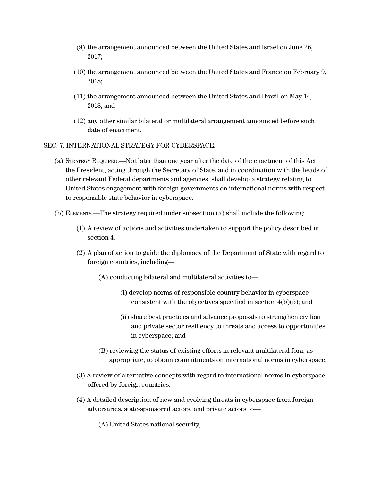- (9) the arrangement announced between the United States and Israel on June 26, 2017;
- (10) the arrangement announced between the United States and France on February 9, 2018;
- (11) the arrangement announced between the United States and Brazil on May 14, 2018; and
- (12) any other similar bilateral or multilateral arrangement announced before such date of enactment.
- SEC. 7. INTERNATIONAL STRATEGY FOR CYBERSPACE.
	- (a) STRATEGY REQUIRED.—Not later than one year after the date of the enactment of this Act, the President, acting through the Secretary of State, and in coordination with the heads of other relevant Federal departments and agencies, shall develop a strategy relating to United States engagement with foreign governments on international norms with respect to responsible state behavior in cyberspace.
	- (b) ELEMENTS.—The strategy required under subsection (a) shall include the following:
		- (1) A review of actions and activities undertaken to support the policy described in section 4.
		- (2) A plan of action to guide the diplomacy of the Department of State with regard to foreign countries, including—
			- (A) conducting bilateral and multilateral activities to—
				- (i) develop norms of responsible country behavior in cyberspace consistent with the objectives specified in section 4(b)(5); and
				- (ii) share best practices and advance proposals to strengthen civilian and private sector resiliency to threats and access to opportunities in cyberspace; and
			- (B) reviewing the status of existing efforts in relevant multilateral fora, as appropriate, to obtain commitments on international norms in cyberspace.
		- (3) A review of alternative concepts with regard to international norms in cyberspace offered by foreign countries.
		- (4) A detailed description of new and evolving threats in cyberspace from foreign adversaries, state-sponsored actors, and private actors to—
			- (A) United States national security;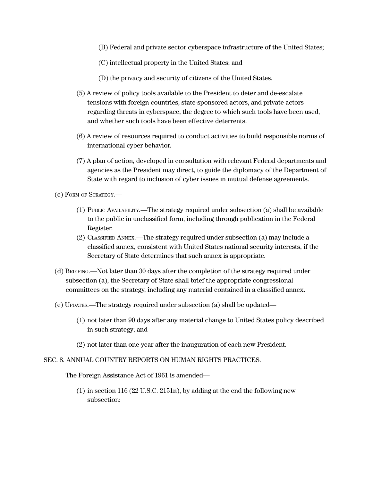- (B) Federal and private sector cyberspace infrastructure of the United States;
- (C) intellectual property in the United States; and
- (D) the privacy and security of citizens of the United States.
- (5) A review of policy tools available to the President to deter and de-escalate tensions with foreign countries, state-sponsored actors, and private actors regarding threats in cyberspace, the degree to which such tools have been used, and whether such tools have been effective deterrents.
- (6) A review of resources required to conduct activities to build responsible norms of international cyber behavior.
- (7) A plan of action, developed in consultation with relevant Federal departments and agencies as the President may direct, to guide the diplomacy of the Department of State with regard to inclusion of cyber issues in mutual defense agreements.

(c) FORM OF STRATEGY.—

- (1) PUBLIC AVAILABILITY.—The strategy required under subsection (a) shall be available to the public in unclassified form, including through publication in the Federal Register.
- (2) CLASSIFIED ANNEX.—The strategy required under subsection (a) may include a classified annex, consistent with United States national security interests, if the Secretary of State determines that such annex is appropriate.
- (d) BRIEFING.—Not later than 30 days after the completion of the strategy required under subsection (a), the Secretary of State shall brief the appropriate congressional committees on the strategy, including any material contained in a classified annex.
- (e) UPDATES.—The strategy required under subsection (a) shall be updated—
	- (1) not later than 90 days after any material change to United States policy described in such strategy; and
	- (2) not later than one year after the inauguration of each new President.

#### SEC. 8. ANNUAL COUNTRY REPORTS ON HUMAN RIGHTS PRACTICES.

The Foreign Assistance Act of 1961 is amended—

(1) in section 116 (22 U.S.C. 2151n), by adding at the end the following new subsection: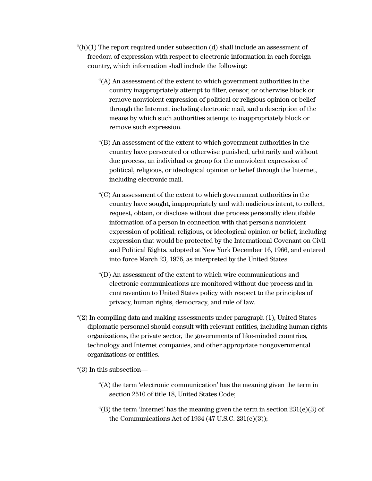- " $(h)(1)$  The report required under subsection  $(d)$  shall include an assessment of freedom of expression with respect to electronic information in each foreign country, which information shall include the following:
	- "(A) An assessment of the extent to which government authorities in the country inappropriately attempt to filter, censor, or otherwise block or remove nonviolent expression of political or religious opinion or belief through the Internet, including electronic mail, and a description of the means by which such authorities attempt to inappropriately block or remove such expression.
	- "(B) An assessment of the extent to which government authorities in the country have persecuted or otherwise punished, arbitrarily and without due process, an individual or group for the nonviolent expression of political, religious, or ideological opinion or belief through the Internet, including electronic mail.
	- "(C) An assessment of the extent to which government authorities in the country have sought, inappropriately and with malicious intent, to collect, request, obtain, or disclose without due process personally identifiable information of a person in connection with that person's nonviolent expression of political, religious, or ideological opinion or belief, including expression that would be protected by the International Covenant on Civil and Political Rights, adopted at New York December 16, 1966, and entered into force March 23, 1976, as interpreted by the United States.
	- "(D) An assessment of the extent to which wire communications and electronic communications are monitored without due process and in contravention to United States policy with respect to the principles of privacy, human rights, democracy, and rule of law.
- "(2) In compiling data and making assessments under paragraph (1), United States diplomatic personnel should consult with relevant entities, including human rights organizations, the private sector, the governments of like-minded countries, technology and Internet companies, and other appropriate nongovernmental organizations or entities.
- "(3) In this subsection—
	- ''(A) the term 'electronic communication' has the meaning given the term in section 2510 of title 18, United States Code;
	- "(B) the term 'Internet' has the meaning given the term in section  $231(e)(3)$  of the Communications Act of  $1934$  (47 U.S.C.  $231(e)(3)$ );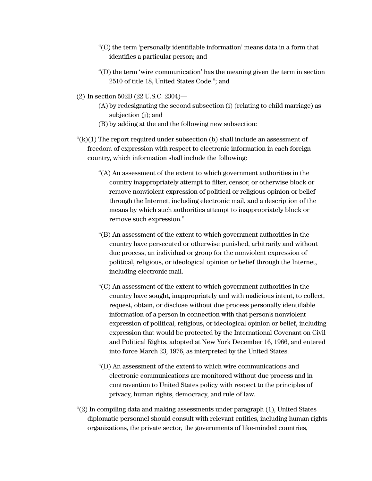- "(C) the term 'personally identifiable information' means data in a form that identifies a particular person; and
- "(D) the term 'wire communication' has the meaning given the term in section 2510 of title 18, United States Code.''; and
- (2) In section 502B (22 U.S.C. 2304)—
	- (A) by redesignating the second subsection (i) (relating to child marriage) as subjection (j); and
	- (B) by adding at the end the following new subsection:
- " $(k)(1)$  The report required under subsection (b) shall include an assessment of freedom of expression with respect to electronic information in each foreign country, which information shall include the following:
	- "(A) An assessment of the extent to which government authorities in the country inappropriately attempt to filter, censor, or otherwise block or remove nonviolent expression of political or religious opinion or belief through the Internet, including electronic mail, and a description of the means by which such authorities attempt to inappropriately block or remove such expression."
	- "(B) An assessment of the extent to which government authorities in the country have persecuted or otherwise punished, arbitrarily and without due process, an individual or group for the nonviolent expression of political, religious, or ideological opinion or belief through the Internet, including electronic mail.
	- "(C) An assessment of the extent to which government authorities in the country have sought, inappropriately and with malicious intent, to collect, request, obtain, or disclose without due process personally identifiable information of a person in connection with that person's nonviolent expression of political, religious, or ideological opinion or belief, including expression that would be protected by the International Covenant on Civil and Political Rights, adopted at New York December 16, 1966, and entered into force March 23, 1976, as interpreted by the United States.
	- "(D) An assessment of the extent to which wire communications and electronic communications are monitored without due process and in contravention to United States policy with respect to the principles of privacy, human rights, democracy, and rule of law.
- "(2) In compiling data and making assessments under paragraph (1), United States diplomatic personnel should consult with relevant entities, including human rights organizations, the private sector, the governments of like-minded countries,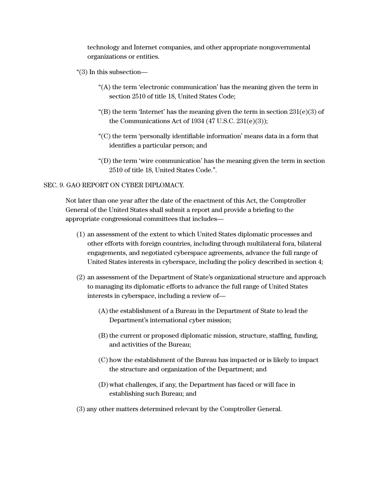technology and Internet companies, and other appropriate nongovernmental organizations or entities.

- "(3) In this subsection—
	- "(A) the term 'electronic communication' has the meaning given the term in section 2510 of title 18, United States Code;
	- "(B) the term 'Internet' has the meaning given the term in section  $231(e)(3)$  of the Communications Act of  $1934$  (47 U.S.C.  $231(e)(3)$ );
	- "(C) the term 'personally identifiable information' means data in a form that identifies a particular person; and
	- "(D) the term 'wire communication' has the meaning given the term in section 2510 of title 18, United States Code.''.

## SEC. 9. GAO REPORT ON CYBER DIPLOMACY.

Not later than one year after the date of the enactment of this Act, the Comptroller General of the United States shall submit a report and provide a briefing to the appropriate congressional committees that includes—

- (1) an assessment of the extent to which United States diplomatic processes and other efforts with foreign countries, including through multilateral fora, bilateral engagements, and negotiated cyberspace agreements, advance the full range of United States interests in cyberspace, including the policy described in section 4;
- (2) an assessment of the Department of State's organizational structure and approach to managing its diplomatic efforts to advance the full range of United States interests in cyberspace, including a review of—
	- (A) the establishment of a Bureau in the Department of State to lead the Department's international cyber mission;
	- (B) the current or proposed diplomatic mission, structure, staffing, funding, and activities of the Bureau;
	- (C) how the establishment of the Bureau has impacted or is likely to impact the structure and organization of the Department; and
	- (D)what challenges, if any, the Department has faced or will face in establishing such Bureau; and
- (3) any other matters determined relevant by the Comptroller General.